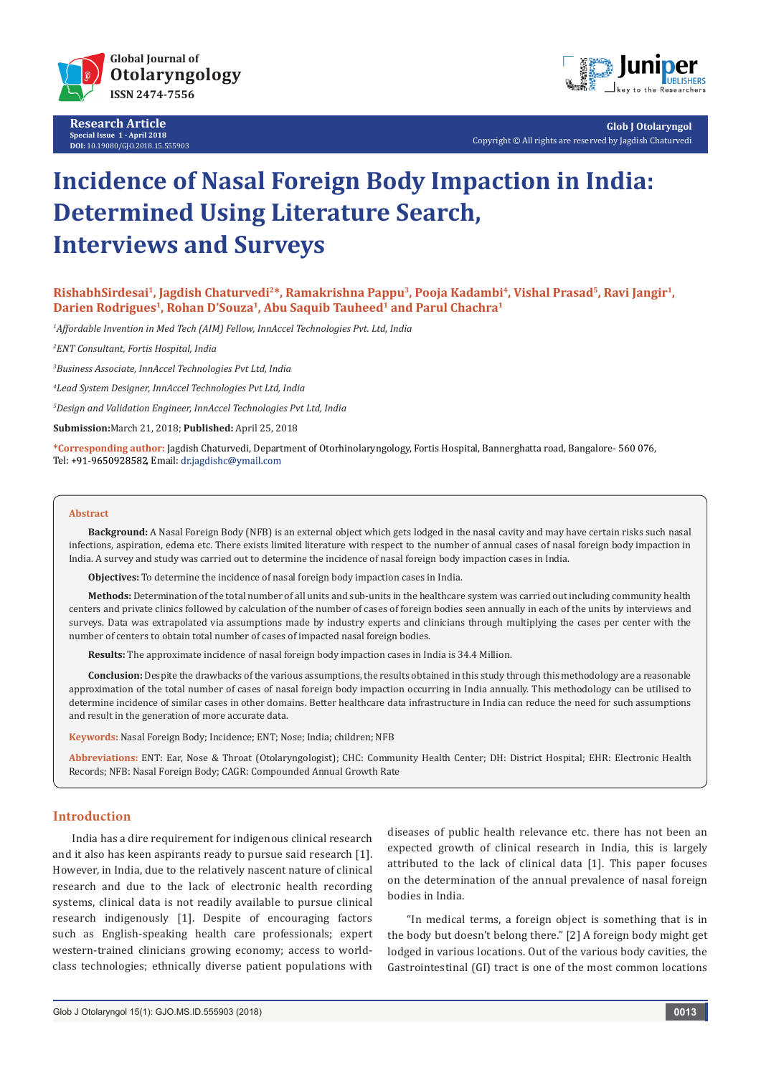

**Research Article Special Issue 1 - April 2018 DOI:** [10.19080/GJO.2018.15.555903](http://dx.doi.org/10.19080/GJO.2018.15.555903)



**Glob J Otolaryngol** Copyright © All rights are reserved by Jagdish Chaturvedi

# **Incidence of Nasal Foreign Body Impaction in India: Determined Using Literature Search, Interviews and Surveys**

**RishabhSirdesai1, Jagdish Chaturvedi2\*, Ramakrishna Pappu3, Pooja Kadambi4, Vishal Prasad5, Ravi Jangir1, Darien Rodrigues1, Rohan D'Souza1, Abu Saquib Tauheed1 and Parul Chachra1**

*1 Affordable Invention in Med Tech (AIM) Fellow, InnAccel Technologies Pvt. Ltd, India*

*2 ENT Consultant, Fortis Hospital, India*

*3 Business Associate, InnAccel Technologies Pvt Ltd, India*

*4 Lead System Designer, InnAccel Technologies Pvt Ltd, India*

*5 Design and Validation Engineer, InnAccel Technologies Pvt Ltd, India*

**Submission:**March 21, 2018; **Published:** April 25, 2018

**\*Corresponding author:** Jagdish Chaturvedi, Department of Otorhinolaryngology, Fortis Hospital, Bannerghatta road, Bangalore- 560 076, Tel: +91-9650928582, Email: dr.jagdishc@ymail.com

#### **Abstract**

**Background:** A Nasal Foreign Body (NFB) is an external object which gets lodged in the nasal cavity and may have certain risks such nasal infections, aspiration, edema etc. There exists limited literature with respect to the number of annual cases of nasal foreign body impaction in India. A survey and study was carried out to determine the incidence of nasal foreign body impaction cases in India.

**Objectives:** To determine the incidence of nasal foreign body impaction cases in India.

**Methods:** Determination of the total number of all units and sub-units in the healthcare system was carried out including community health centers and private clinics followed by calculation of the number of cases of foreign bodies seen annually in each of the units by interviews and surveys. Data was extrapolated via assumptions made by industry experts and clinicians through multiplying the cases per center with the number of centers to obtain total number of cases of impacted nasal foreign bodies.

**Results:** The approximate incidence of nasal foreign body impaction cases in India is 34.4 Million.

**Conclusion:** Despite the drawbacks of the various assumptions, the results obtained in this study through this methodology are a reasonable approximation of the total number of cases of nasal foreign body impaction occurring in India annually. This methodology can be utilised to determine incidence of similar cases in other domains. Better healthcare data infrastructure in India can reduce the need for such assumptions and result in the generation of more accurate data.

**Keywords:** Nasal Foreign Body; Incidence; ENT; Nose; India; children; NFB

**Abbreviations:** ENT: Ear, Nose & Throat (Otolaryngologist); CHC: Community Health Center; DH: District Hospital; EHR: Electronic Health Records; NFB: Nasal Foreign Body; CAGR: Compounded Annual Growth Rate

## **Introduction**

India has a dire requirement for indigenous clinical research and it also has keen aspirants ready to pursue said research [1]. However, in India, due to the relatively nascent nature of clinical research and due to the lack of electronic health recording systems, clinical data is not readily available to pursue clinical research indigenously [1]. Despite of encouraging factors such as English-speaking health care professionals; expert western-trained clinicians growing economy; access to worldclass technologies; ethnically diverse patient populations with

diseases of public health relevance etc. there has not been an expected growth of clinical research in India, this is largely attributed to the lack of clinical data [1]. This paper focuses on the determination of the annual prevalence of nasal foreign bodies in India.

"In medical terms, a foreign object is something that is in the body but doesn't belong there." [2] A foreign body might get lodged in various locations. Out of the various body cavities, the Gastrointestinal (GI) tract is one of the most common locations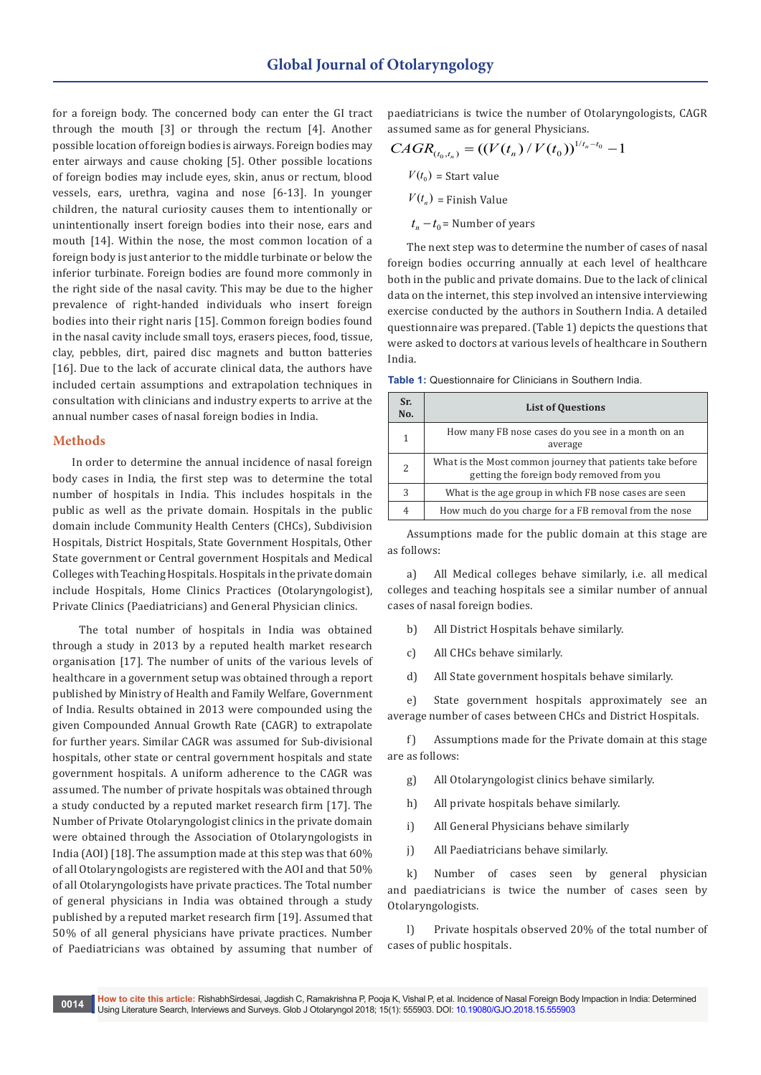for a foreign body. The concerned body can enter the GI tract through the mouth [3] or through the rectum [4]. Another possible location of foreign bodies is airways. Foreign bodies may enter airways and cause choking [5]. Other possible locations of foreign bodies may include eyes, skin, anus or rectum, blood vessels, ears, urethra, vagina and nose [6-13]. In younger children, the natural curiosity causes them to intentionally or unintentionally insert foreign bodies into their nose, ears and mouth [14]. Within the nose, the most common location of a foreign body is just anterior to the middle turbinate or below the inferior turbinate. Foreign bodies are found more commonly in the right side of the nasal cavity. This may be due to the higher prevalence of right-handed individuals who insert foreign bodies into their right naris [15]. Common foreign bodies found in the nasal cavity include small toys, erasers pieces, food, tissue, clay, pebbles, dirt, paired disc magnets and button batteries [16]. Due to the lack of accurate clinical data, the authors have included certain assumptions and extrapolation techniques in consultation with clinicians and industry experts to arrive at the annual number cases of nasal foreign bodies in India.

## **Methods**

In order to determine the annual incidence of nasal foreign body cases in India, the first step was to determine the total number of hospitals in India. This includes hospitals in the public as well as the private domain. Hospitals in the public domain include Community Health Centers (CHCs), Subdivision Hospitals, District Hospitals, State Government Hospitals, Other State government or Central government Hospitals and Medical Colleges with Teaching Hospitals. Hospitals in the private domain include Hospitals, Home Clinics Practices (Otolaryngologist), Private Clinics (Paediatricians) and General Physician clinics.

 The total number of hospitals in India was obtained through a study in 2013 by a reputed health market research organisation [17]. The number of units of the various levels of healthcare in a government setup was obtained through a report published by Ministry of Health and Family Welfare, Government of India. Results obtained in 2013 were compounded using the given Compounded Annual Growth Rate (CAGR) to extrapolate for further years. Similar CAGR was assumed for Sub-divisional hospitals, other state or central government hospitals and state government hospitals. A uniform adherence to the CAGR was assumed. The number of private hospitals was obtained through a study conducted by a reputed market research firm [17]. The Number of Private Otolaryngologist clinics in the private domain were obtained through the Association of Otolaryngologists in India (AOI) [18]. The assumption made at this step was that 60% of all Otolaryngologists are registered with the AOI and that 50% of all Otolaryngologists have private practices. The Total number of general physicians in India was obtained through a study published by a reputed market research firm [19]. Assumed that 50% of all general physicians have private practices. Number of Paediatricians was obtained by assuming that number of paediatricians is twice the number of Otolaryngologists, CAGR assumed same as for general Physicians.

$$
CAGR_{(t_0, t_n)} = ((V(t_n) / V(t_0))^{1/t_n - t_0} - 1
$$
  

$$
V(t_0) = \text{Start value}
$$
  

$$
V(t_n) = \text{Finish Value}
$$
  

$$
t_n - t_0 = \text{Number of years}
$$

The next step was to determine the number of cases of nasal foreign bodies occurring annually at each level of healthcare both in the public and private domains. Due to the lack of clinical data on the internet, this step involved an intensive interviewing exercise conducted by the authors in Southern India. A detailed questionnaire was prepared. (Table 1) depicts the questions that were asked to doctors at various levels of healthcare in Southern India.

**Table 1:** Questionnaire for Clinicians in Southern India.

| Sr.<br>No.     | <b>List of Questions</b>                                                                               |  |  |
|----------------|--------------------------------------------------------------------------------------------------------|--|--|
| 1              | How many FB nose cases do you see in a month on an<br>average                                          |  |  |
| $\overline{c}$ | What is the Most common journey that patients take before<br>getting the foreign body removed from you |  |  |
| 3              | What is the age group in which FB nose cases are seen                                                  |  |  |
| 4              | How much do you charge for a FB removal from the nose                                                  |  |  |

Assumptions made for the public domain at this stage are as follows:

a) All Medical colleges behave similarly, i.e. all medical colleges and teaching hospitals see a similar number of annual cases of nasal foreign bodies.

- b) All District Hospitals behave similarly.
- c) All CHCs behave similarly.
- d) All State government hospitals behave similarly.

e) State government hospitals approximately see an average number of cases between CHCs and District Hospitals.

f) Assumptions made for the Private domain at this stage are as follows:

- g) All Otolaryngologist clinics behave similarly.
- h) All private hospitals behave similarly.
- i) All General Physicians behave similarly
- j) All Paediatricians behave similarly.

k) Number of cases seen by general physician and paediatricians is twice the number of cases seen by Otolaryngologists.

l) Private hospitals observed 20% of the total number of cases of public hospitals.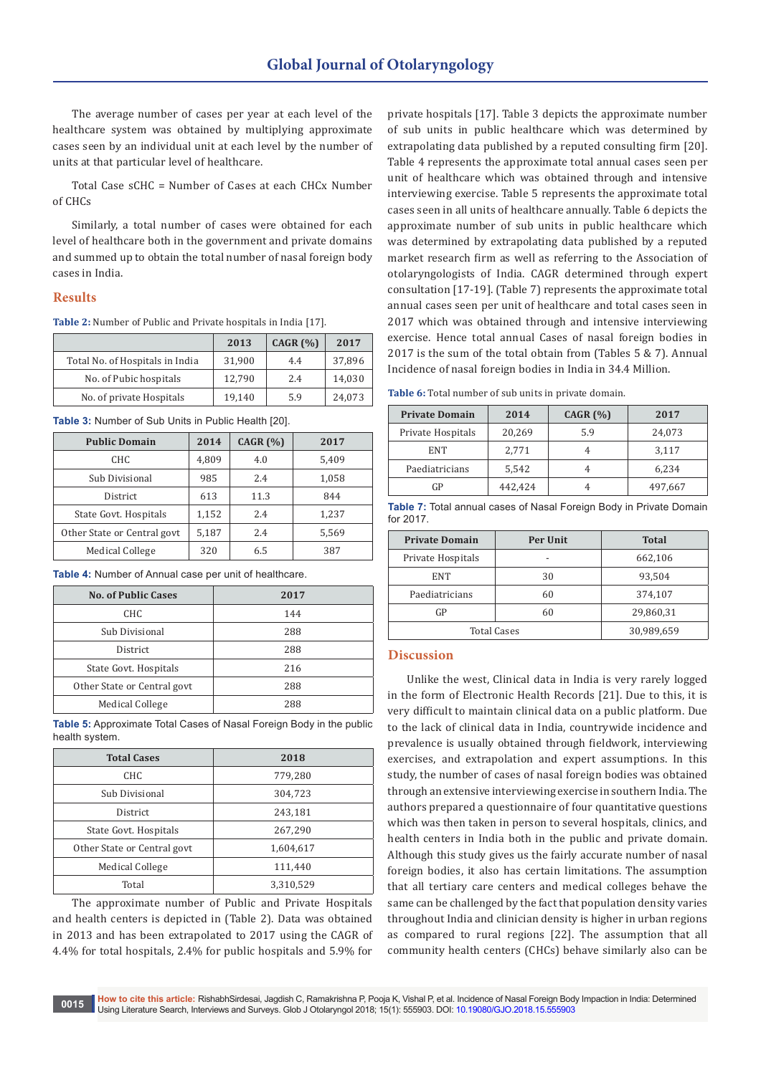The average number of cases per year at each level of the healthcare system was obtained by multiplying approximate cases seen by an individual unit at each level by the number of units at that particular level of healthcare.

Total Case sCHC = Number of Cases at each CHCx Number of CHCs

Similarly, a total number of cases were obtained for each level of healthcare both in the government and private domains and summed up to obtain the total number of nasal foreign body cases in India.

### **Results**

**Table 2:** Number of Public and Private hospitals in India [17].

|                                 | 2013   | CAGR $(%)$ | 2017   |
|---------------------------------|--------|------------|--------|
| Total No. of Hospitals in India | 31.900 | 4.4        | 37,896 |
| No. of Pubic hospitals          | 12.790 | 2.4        | 14.030 |
| No. of private Hospitals        | 19.140 | 5.9        | 24,073 |

**Table 3:** Number of Sub Units in Public Health [20].

| <b>Public Domain</b>        | 2014  | CAGR $(%)$ | 2017  |
|-----------------------------|-------|------------|-------|
| CHC                         | 4,809 | 4.0        | 5,409 |
| Sub Divisional              | 985   | 2.4        | 1,058 |
| District                    | 613   | 11.3       | 844   |
| State Govt. Hospitals       | 1,152 | 2.4        | 1,237 |
| Other State or Central govt | 5,187 | 2.4        | 5,569 |
| Medical College             | 320   | 6.5        | 387   |

**Table 4:** Number of Annual case per unit of healthcare.

| <b>No. of Public Cases</b>  | 2017 |
|-----------------------------|------|
| CHC                         | 144  |
| Sub Divisional              | 288  |
| <b>District</b>             | 288  |
| State Govt. Hospitals       | 216  |
| Other State or Central govt | 288  |
| Medical College             | 288  |

**Table 5:** Approximate Total Cases of Nasal Foreign Body in the public health system.

| <b>Total Cases</b>          | 2018      |
|-----------------------------|-----------|
| CHC.                        | 779,280   |
| Sub Divisional              | 304,723   |
| District                    | 243,181   |
| State Govt. Hospitals       | 267,290   |
| Other State or Central govt | 1,604,617 |
| Medical College             | 111,440   |
| Total                       | 3,310,529 |

The approximate number of Public and Private Hospitals and health centers is depicted in (Table 2). Data was obtained in 2013 and has been extrapolated to 2017 using the CAGR of 4.4% for total hospitals, 2.4% for public hospitals and 5.9% for

private hospitals [17]. Table 3 depicts the approximate number of sub units in public healthcare which was determined by extrapolating data published by a reputed consulting firm [20]. Table 4 represents the approximate total annual cases seen per unit of healthcare which was obtained through and intensive interviewing exercise. Table 5 represents the approximate total cases seen in all units of healthcare annually. Table 6 depicts the approximate number of sub units in public healthcare which was determined by extrapolating data published by a reputed market research firm as well as referring to the Association of otolaryngologists of India. CAGR determined through expert consultation [17-19]. (Table 7) represents the approximate total annual cases seen per unit of healthcare and total cases seen in 2017 which was obtained through and intensive interviewing exercise. Hence total annual Cases of nasal foreign bodies in 2017 is the sum of the total obtain from (Tables 5 & 7). Annual Incidence of nasal foreign bodies in India in 34.4 Million.

**Table 6:** Total number of sub units in private domain.

| <b>Private Domain</b> | 2014    | CAGR $(% )$ | 2017    |
|-----------------------|---------|-------------|---------|
| Private Hospitals     | 20,269  | 5.9         | 24,073  |
| <b>ENT</b>            | 2,771   |             | 3,117   |
| Paediatricians        | 5,542   |             | 6,234   |
| GP                    | 442,424 |             | 497,667 |

| Table 7: Total annual cases of Nasal Foreign Body in Private Domain |  |  |  |
|---------------------------------------------------------------------|--|--|--|
| for 2017.                                                           |  |  |  |

| <b>Private Domain</b> | Per Unit   | <b>Total</b> |
|-----------------------|------------|--------------|
| Private Hospitals     | -          | 662,106      |
| <b>ENT</b>            | 30         | 93,504       |
| Paediatricians        | 60         | 374,107      |
| GP                    | 60         | 29,860,31    |
| <b>Total Cases</b>    | 30,989,659 |              |

#### **Discussion**

Unlike the west, Clinical data in India is very rarely logged in the form of Electronic Health Records [21]. Due to this, it is very difficult to maintain clinical data on a public platform. Due to the lack of clinical data in India, countrywide incidence and prevalence is usually obtained through fieldwork, interviewing exercises, and extrapolation and expert assumptions. In this study, the number of cases of nasal foreign bodies was obtained through an extensive interviewing exercise in southern India. The authors prepared a questionnaire of four quantitative questions which was then taken in person to several hospitals, clinics, and health centers in India both in the public and private domain. Although this study gives us the fairly accurate number of nasal foreign bodies, it also has certain limitations. The assumption that all tertiary care centers and medical colleges behave the same can be challenged by the fact that population density varies throughout India and clinician density is higher in urban regions as compared to rural regions [22]. The assumption that all community health centers (CHCs) behave similarly also can be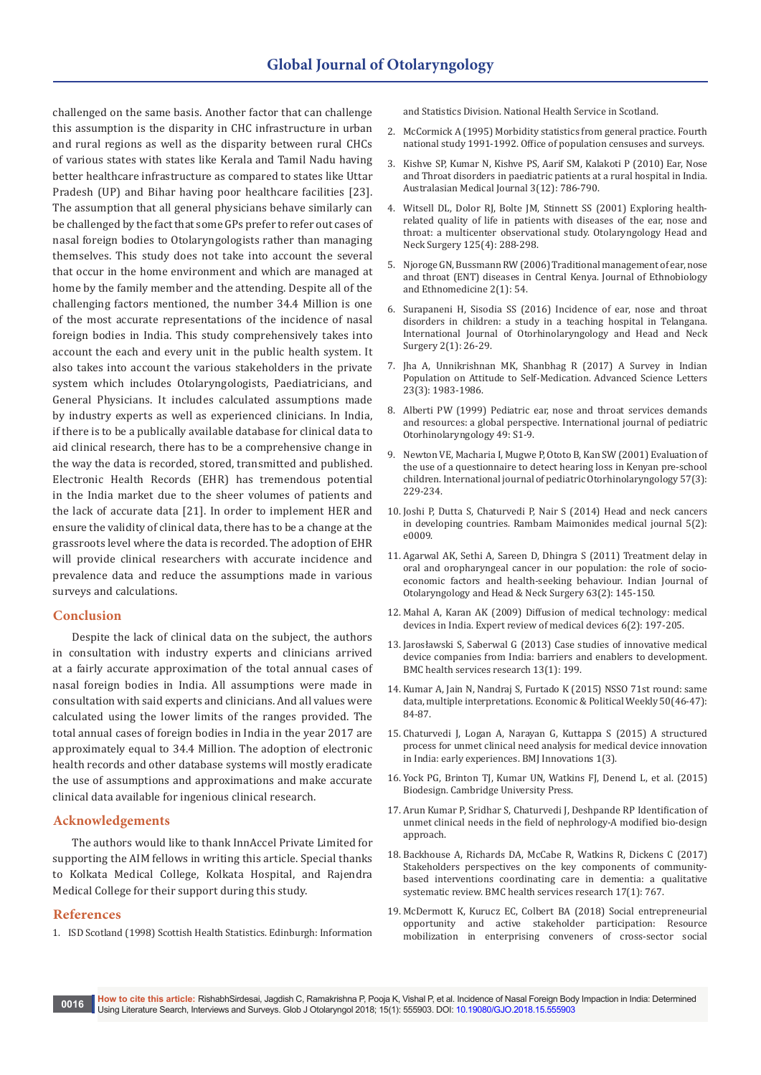challenged on the same basis. Another factor that can challenge this assumption is the disparity in CHC infrastructure in urban and rural regions as well as the disparity between rural CHCs of various states with states like Kerala and Tamil Nadu having better healthcare infrastructure as compared to states like Uttar Pradesh (UP) and Bihar having poor healthcare facilities [23]. The assumption that all general physicians behave similarly can be challenged by the fact that some GPs prefer to refer out cases of nasal foreign bodies to Otolaryngologists rather than managing themselves. This study does not take into account the several that occur in the home environment and which are managed at home by the family member and the attending. Despite all of the challenging factors mentioned, the number 34.4 Million is one of the most accurate representations of the incidence of nasal foreign bodies in India. This study comprehensively takes into account the each and every unit in the public health system. It also takes into account the various stakeholders in the private system which includes Otolaryngologists, Paediatricians, and General Physicians. It includes calculated assumptions made by industry experts as well as experienced clinicians. In India, if there is to be a publically available database for clinical data to aid clinical research, there has to be a comprehensive change in the way the data is recorded, stored, transmitted and published. Electronic Health Records (EHR) has tremendous potential in the India market due to the sheer volumes of patients and the lack of accurate data [21]. In order to implement HER and ensure the validity of clinical data, there has to be a change at the grassroots level where the data is recorded. The adoption of EHR will provide clinical researchers with accurate incidence and prevalence data and reduce the assumptions made in various surveys and calculations.

## **Conclusion**

Despite the lack of clinical data on the subject, the authors in consultation with industry experts and clinicians arrived at a fairly accurate approximation of the total annual cases of nasal foreign bodies in India. All assumptions were made in consultation with said experts and clinicians. And all values were calculated using the lower limits of the ranges provided. The total annual cases of foreign bodies in India in the year 2017 are approximately equal to 34.4 Million. The adoption of electronic health records and other database systems will mostly eradicate the use of assumptions and approximations and make accurate clinical data available for ingenious clinical research.

### **Acknowledgements**

The authors would like to thank InnAccel Private Limited for supporting the AIM fellows in writing this article. Special thanks to Kolkata Medical College, Kolkata Hospital, and Rajendra Medical College for their support during this study.

## **References**

1. ISD Scotland (1998) Scottish Health Statistics. Edinburgh: Information

and Statistics Division. National Health Service in Scotland.

- 2. McCormick A (1995) Morbidity statistics from general practice. Fourth national study 1991-1992. Office of population censuses and surveys.
- 3. [Kishve SP, Kumar N, Kishve PS, Aarif SM, Kalakoti P \(2010\) Ear, Nose](http://citeseerx.ist.psu.edu/viewdoc/download?doi=10.1.1.662.5941&rep=rep1&type=pdf)  [and Throat disorders in paediatric patients at a rural hospital in India.](http://citeseerx.ist.psu.edu/viewdoc/download?doi=10.1.1.662.5941&rep=rep1&type=pdf)  [Australasian Medical Journal 3\(12\): 786-790.](http://citeseerx.ist.psu.edu/viewdoc/download?doi=10.1.1.662.5941&rep=rep1&type=pdf)
- 4. [Witsell DL, Dolor RJ, Bolte JM, Stinnett SS \(2001\) Exploring health](https://www.ncbi.nlm.nih.gov/pubmed/11593161)[related quality of life in patients with diseases of the ear, nose and](https://www.ncbi.nlm.nih.gov/pubmed/11593161)  [throat: a multicenter observational study. Otolaryngology Head and](https://www.ncbi.nlm.nih.gov/pubmed/11593161)  [Neck Surgery 125\(4\): 288-298.](https://www.ncbi.nlm.nih.gov/pubmed/11593161)
- 5. [Njoroge GN, Bussmann RW \(2006\) Traditional management of ear, nose](https://www.researchgate.net/publication/6608803_Traditional_management_of_Ear_Nose_and_Throat_ENT_diseases_in_Central_Kenya)  [and throat \(ENT\) diseases in Central Kenya. Journal of Ethnobiology](https://www.researchgate.net/publication/6608803_Traditional_management_of_Ear_Nose_and_Throat_ENT_diseases_in_Central_Kenya)  [and Ethnomedicine 2\(1\): 54.](https://www.researchgate.net/publication/6608803_Traditional_management_of_Ear_Nose_and_Throat_ENT_diseases_in_Central_Kenya)
- 6. [Surapaneni H, Sisodia SS \(2016\) Incidence of ear, nose and throat](http://www.ijorl.com/index.php/ijorl/article/view/87)  [disorders in children: a study in a teaching hospital in Telangana.](http://www.ijorl.com/index.php/ijorl/article/view/87)  [International Journal of Otorhinolaryngology and Head and Neck](http://www.ijorl.com/index.php/ijorl/article/view/87)  [Surgery 2\(1\): 26-29.](http://www.ijorl.com/index.php/ijorl/article/view/87)
- 7. Jha A, Unnikrishnan MK, Shanbhag R (2017) A Survey in Indian Population on Attitude to Self-Medication. Advanced Science Letters 23(3): 1983-1986.
- 8. [Alberti PW \(1999\) Pediatric ear, nose and throat services demands](https://www.ncbi.nlm.nih.gov/pubmed/10577766)  [and resources: a global perspective. International journal of pediatric](https://www.ncbi.nlm.nih.gov/pubmed/10577766)  [Otorhinolaryngology 49: S1-9.](https://www.ncbi.nlm.nih.gov/pubmed/10577766)
- 9. [Newton VE, Macharia I, Mugwe P, Ototo B, Kan SW \(2001\) Evaluation of](https://www.ncbi.nlm.nih.gov/pubmed/11223455)  [the use of a questionnaire to detect hearing loss in Kenyan pre-school](https://www.ncbi.nlm.nih.gov/pubmed/11223455)  [children. International journal of pediatric Otorhinolaryngology 57\(3\):](https://www.ncbi.nlm.nih.gov/pubmed/11223455)  [229-234.](https://www.ncbi.nlm.nih.gov/pubmed/11223455)
- 10. [Joshi P, Dutta S, Chaturvedi P, Nair S \(2014\) Head and neck cancers](https://www.ncbi.nlm.nih.gov/pubmed/24808947)  [in developing countries. Rambam Maimonides medical journal 5\(2\):](https://www.ncbi.nlm.nih.gov/pubmed/24808947)  [e0009.](https://www.ncbi.nlm.nih.gov/pubmed/24808947)
- 11. Agarwal AK, Sethi A, Sareen D, Dhingra S (2011) Treatment delay in oral and oropharyngeal cancer in our population: the role of socioeconomic factors and health-seeking behaviour. Indian Journal of Otolaryngology and Head & Neck Surgery 63(2): 145-150.
- 12. [Mahal A, Karan AK \(2009\) Diffusion of medical technology: medical](https://www.ncbi.nlm.nih.gov/pubmed/19298166)  [devices in India. Expert review of medical devices 6\(2\): 197-205.](https://www.ncbi.nlm.nih.gov/pubmed/19298166)
- 13. [Jarosławski S, Saberwal G \(2013\) Case studies of innovative medical](https://bmchealthservres.biomedcentral.com/articles/10.1186/1472-6963-13-199)  [device companies from India: barriers and enablers to development.](https://bmchealthservres.biomedcentral.com/articles/10.1186/1472-6963-13-199)  [BMC health services research 13\(1\): 199.](https://bmchealthservres.biomedcentral.com/articles/10.1186/1472-6963-13-199)
- 14. [Kumar A, Jain N, Nandraj S, Furtado K \(2015\) NSSO 71st round: same](https://papers.ssrn.com/sol3/papers.cfm?abstract_id=2705681)  [data, multiple interpretations. Economic & Political Weekly 50\(46-47\):](https://papers.ssrn.com/sol3/papers.cfm?abstract_id=2705681)  [84-87.](https://papers.ssrn.com/sol3/papers.cfm?abstract_id=2705681)
- 15. [Chaturvedi J, Logan A, Narayan G, Kuttappa S \(2015\) A structured](https://www.researchgate.net/publication/277977548_A_structured_process_for_unmet_clinical_need_analysis_for_medical_device_innovation_in_India_Early_experiences)  [process for unmet clinical need analysis for medical device innovation](https://www.researchgate.net/publication/277977548_A_structured_process_for_unmet_clinical_need_analysis_for_medical_device_innovation_in_India_Early_experiences)  [in India: early experiences. BMJ Innovations 1\(3\).](https://www.researchgate.net/publication/277977548_A_structured_process_for_unmet_clinical_need_analysis_for_medical_device_innovation_in_India_Early_experiences)
- 16. Yock PG, Brinton TJ, Kumar UN, Watkins FJ, Denend L, et al. (2015) Biodesign. Cambridge University Press.
- 17. [Arun Kumar P, Sridhar S, Chaturvedi J, Deshpande RP Identification of](http://www.oatext.com/Identification-of-unmet-clinical-needs-in-the-field-of-nephrology%E2%80%93A-modified-bio-design-approach.php)  [unmet clinical needs in the field of nephrology-A modified bio-design](http://www.oatext.com/Identification-of-unmet-clinical-needs-in-the-field-of-nephrology%E2%80%93A-modified-bio-design-approach.php)  [approach.](http://www.oatext.com/Identification-of-unmet-clinical-needs-in-the-field-of-nephrology%E2%80%93A-modified-bio-design-approach.php)
- 18. Backhouse A, Richards DA, McCabe R, Watkins R, Dickens C (2017) Stakeholders perspectives on the key components of communitybased interventions coordinating care in dementia: a qualitative systematic review. BMC health services research 17(1): 767.
- 19. [McDermott K, Kurucz EC, Colbert BA \(2018\) Social entrepreneurial](https://www.sciencedirect.com/science/article/pii/S0959652618303147)  [opportunity and active stakeholder participation: Resource](https://www.sciencedirect.com/science/article/pii/S0959652618303147)  [mobilization in enterprising conveners of cross-sector social](https://www.sciencedirect.com/science/article/pii/S0959652618303147)

**0016 How to cite this article:** RishabhSirdesai, Jagdish C, Ramakrishna P, Pooja K, Vishal P, et al. Incidence of Nasal Foreign Body Impaction in India: Determined Using Literature Search, Interviews and Surveys. Glob J Otolaryngol 2018; 15(1): 555903. DOI: [10.19080/GJO.2018.15.555903](http://dx.doi.org/10.19080/GJO.2018.15.555903)